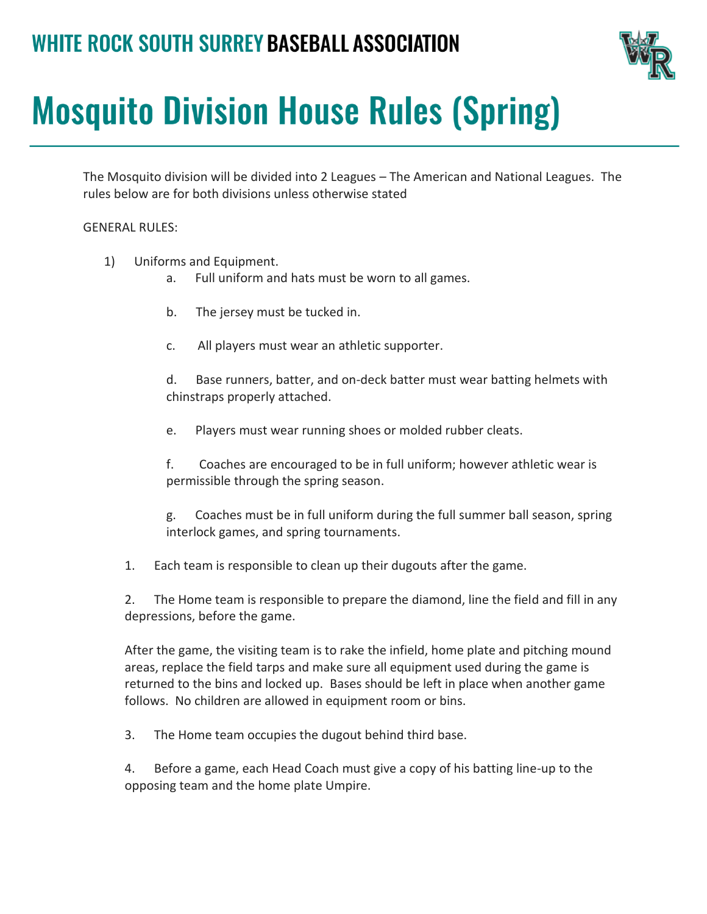

# **Mosquito Division House Rules (Spring)**

The Mosquito division will be divided into 2 Leagues – The American and National Leagues. The rules below are for both divisions unless otherwise stated

## GENERAL RULES:

- 1) Uniforms and Equipment.
	- a. Full uniform and hats must be worn to all games.
	- b. The jersey must be tucked in.
	- c. All players must wear an athletic supporter.

d. Base runners, batter, and on-deck batter must wear batting helmets with chinstraps properly attached.

e. Players must wear running shoes or molded rubber cleats.

f. Coaches are encouraged to be in full uniform; however athletic wear is permissible through the spring season.

g. Coaches must be in full uniform during the full summer ball season, spring interlock games, and spring tournaments.

1. Each team is responsible to clean up their dugouts after the game.

2. The Home team is responsible to prepare the diamond, line the field and fill in any depressions, before the game.

After the game, the visiting team is to rake the infield, home plate and pitching mound areas, replace the field tarps and make sure all equipment used during the game is returned to the bins and locked up. Bases should be left in place when another game follows. No children are allowed in equipment room or bins.

3. The Home team occupies the dugout behind third base.

4. Before a game, each Head Coach must give a copy of his batting line-up to the opposing team and the home plate Umpire.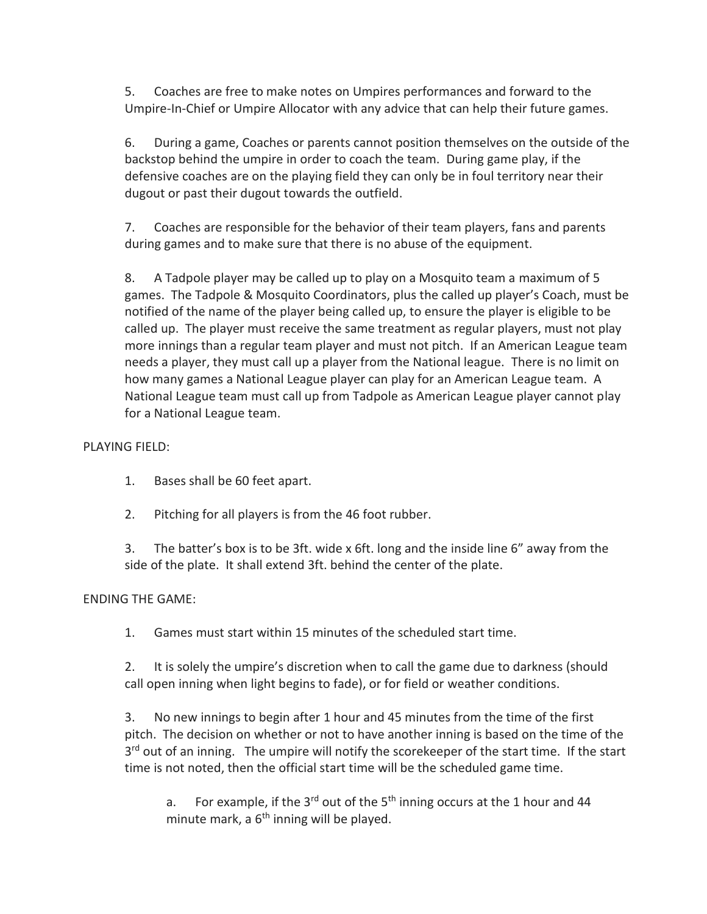5. Coaches are free to make notes on Umpires performances and forward to the Umpire-In-Chief or Umpire Allocator with any advice that can help their future games.

6. During a game, Coaches or parents cannot position themselves on the outside of the backstop behind the umpire in order to coach the team. During game play, if the defensive coaches are on the playing field they can only be in foul territory near their dugout or past their dugout towards the outfield.

7. Coaches are responsible for the behavior of their team players, fans and parents during games and to make sure that there is no abuse of the equipment.

8. A Tadpole player may be called up to play on a Mosquito team a maximum of 5 games. The Tadpole & Mosquito Coordinators, plus the called up player's Coach, must be notified of the name of the player being called up, to ensure the player is eligible to be called up. The player must receive the same treatment as regular players, must not play more innings than a regular team player and must not pitch. If an American League team needs a player, they must call up a player from the National league. There is no limit on how many games a National League player can play for an American League team. A National League team must call up from Tadpole as American League player cannot play for a National League team.

# PLAYING FIELD:

- 1. Bases shall be 60 feet apart.
- 2. Pitching for all players is from the 46 foot rubber.

3. The batter's box is to be 3ft. wide x 6ft. long and the inside line 6" away from the side of the plate. It shall extend 3ft. behind the center of the plate.

#### ENDING THE GAME:

1. Games must start within 15 minutes of the scheduled start time.

2. It is solely the umpire's discretion when to call the game due to darkness (should call open inning when light begins to fade), or for field or weather conditions.

3. No new innings to begin after 1 hour and 45 minutes from the time of the first pitch. The decision on whether or not to have another inning is based on the time of the 3<sup>rd</sup> out of an inning. The umpire will notify the scorekeeper of the start time. If the start time is not noted, then the official start time will be the scheduled game time.

a. For example, if the  $3^{rd}$  out of the  $5^{th}$  inning occurs at the 1 hour and 44 minute mark, a  $6<sup>th</sup>$  inning will be played.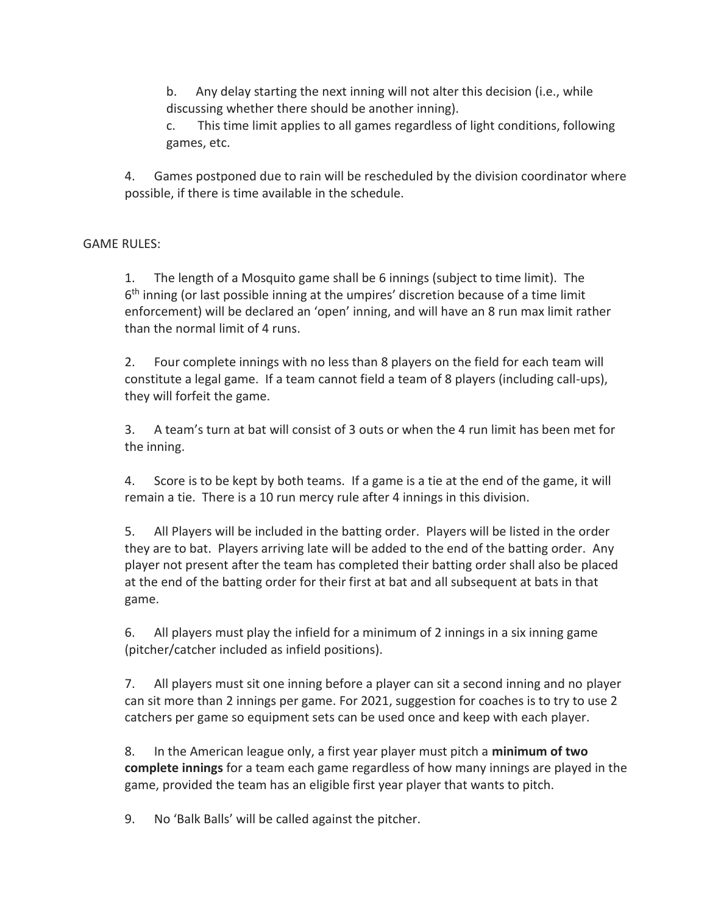b. Any delay starting the next inning will not alter this decision (i.e., while discussing whether there should be another inning).

c. This time limit applies to all games regardless of light conditions, following games, etc.

4. Games postponed due to rain will be rescheduled by the division coordinator where possible, if there is time available in the schedule.

## GAME RULES:

1. The length of a Mosquito game shall be 6 innings (subject to time limit). The 6<sup>th</sup> inning (or last possible inning at the umpires' discretion because of a time limit enforcement) will be declared an 'open' inning, and will have an 8 run max limit rather than the normal limit of 4 runs.

2. Four complete innings with no less than 8 players on the field for each team will constitute a legal game. If a team cannot field a team of 8 players (including call-ups), they will forfeit the game.

3. A team's turn at bat will consist of 3 outs or when the 4 run limit has been met for the inning.

4. Score is to be kept by both teams. If a game is a tie at the end of the game, it will remain a tie. There is a 10 run mercy rule after 4 innings in this division.

5. All Players will be included in the batting order. Players will be listed in the order they are to bat. Players arriving late will be added to the end of the batting order. Any player not present after the team has completed their batting order shall also be placed at the end of the batting order for their first at bat and all subsequent at bats in that game.

6. All players must play the infield for a minimum of 2 innings in a six inning game (pitcher/catcher included as infield positions).

7. All players must sit one inning before a player can sit a second inning and no player can sit more than 2 innings per game. For 2021, suggestion for coaches is to try to use 2 catchers per game so equipment sets can be used once and keep with each player.

8. In the American league only, a first year player must pitch a **minimum of two complete innings** for a team each game regardless of how many innings are played in the game, provided the team has an eligible first year player that wants to pitch.

9. No 'Balk Balls' will be called against the pitcher.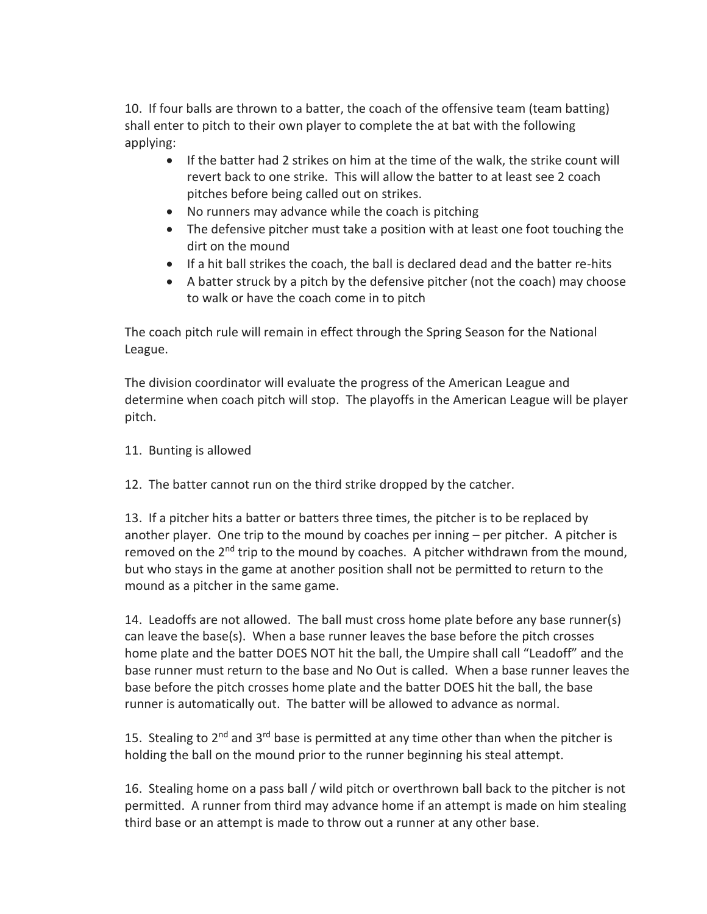10. If four balls are thrown to a batter, the coach of the offensive team (team batting) shall enter to pitch to their own player to complete the at bat with the following applying:

- If the batter had 2 strikes on him at the time of the walk, the strike count will revert back to one strike. This will allow the batter to at least see 2 coach pitches before being called out on strikes.
- No runners may advance while the coach is pitching
- The defensive pitcher must take a position with at least one foot touching the dirt on the mound
- If a hit ball strikes the coach, the ball is declared dead and the batter re-hits
- A batter struck by a pitch by the defensive pitcher (not the coach) may choose to walk or have the coach come in to pitch

The coach pitch rule will remain in effect through the Spring Season for the National League.

The division coordinator will evaluate the progress of the American League and determine when coach pitch will stop. The playoffs in the American League will be player pitch.

- 11. Bunting is allowed
- 12. The batter cannot run on the third strike dropped by the catcher.

13. If a pitcher hits a batter or batters three times, the pitcher is to be replaced by another player. One trip to the mound by coaches per inning – per pitcher. A pitcher is removed on the  $2^{nd}$  trip to the mound by coaches. A pitcher withdrawn from the mound, but who stays in the game at another position shall not be permitted to return to the mound as a pitcher in the same game.

14. Leadoffs are not allowed. The ball must cross home plate before any base runner(s) can leave the base(s). When a base runner leaves the base before the pitch crosses home plate and the batter DOES NOT hit the ball, the Umpire shall call "Leadoff" and the base runner must return to the base and No Out is called. When a base runner leaves the base before the pitch crosses home plate and the batter DOES hit the ball, the base runner is automatically out. The batter will be allowed to advance as normal.

15. Stealing to  $2<sup>nd</sup>$  and  $3<sup>rd</sup>$  base is permitted at any time other than when the pitcher is holding the ball on the mound prior to the runner beginning his steal attempt.

16. Stealing home on a pass ball / wild pitch or overthrown ball back to the pitcher is not permitted. A runner from third may advance home if an attempt is made on him stealing third base or an attempt is made to throw out a runner at any other base.